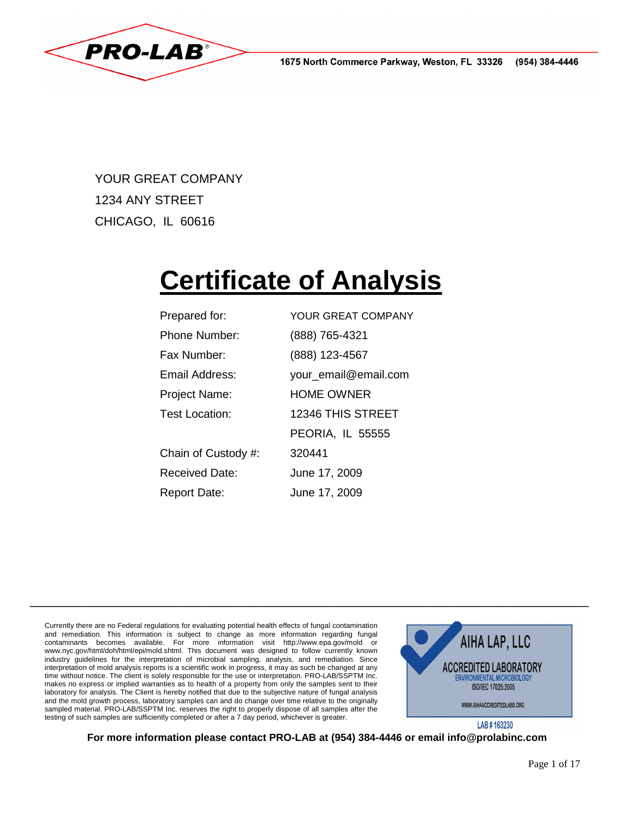1675 North Commerce Parkway, Weston, FL 33326 (954) 384-4446



YOUR GREAT COMPANY 1234 ANY STREET CHICAGO, IL 60616

# **Certificate of Analysis**

| Prepared for:         | YOUR GREAT COMPANY      |
|-----------------------|-------------------------|
| Phone Number:         | (888) 765-4321          |
| Fax Number:           | (888) 123-4567          |
| Email Address:        | your_email@email.com    |
| <b>Project Name:</b>  | <b>HOME OWNER</b>       |
| Test Location:        | 12346 THIS STREET       |
|                       | <b>PEORIA, IL 55555</b> |
| Chain of Custody #:   | 320441                  |
| <b>Received Date:</b> | June 17, 2009           |
| Report Date:          | June 17, 2009           |

Currently there are no Federal regulations for evaluating potential health effects of fungal contamination and remediation. This information is subject to change as more information regarding fungal contaminants becomes available. For more information visit http://www.epa.gov/mold or www.nyc.gov/html/doh/html/epi/mold.shtml. This document was designed to follow currently known industry guidelines for the interpretation of microbial sampling, analysis, and remediation. Since interpretation of mold analysis reports is a scientific work in progress, it may as such be changed at any time without notice. The client is solely responsible for the use or interpretation. PRO-LAB/SSPTM Inc. makes no express or implied warranties as to health of a property from only the samples sent to their laboratory for analysis. The Client is hereby notified that due to the subjective nature of fungal analysis and the mold growth process, laboratory samples can and do change over time relative to the originally sampled material. PRO-LAB/SSPTM Inc. reserves the right to properly dispose of all samples after the testing of such samples are sufficiently completed or after a 7 day period, whichever is greater.



LAB #163230

**For more information please contact PRO-LAB at (954) 384-4446 or email info@prolabinc.com** 

\_\_\_\_\_\_\_\_\_\_\_\_\_\_\_\_\_\_\_\_\_\_\_\_\_\_\_\_\_\_\_\_\_\_\_\_\_\_\_\_\_\_\_\_\_\_\_\_\_\_\_\_\_\_\_\_\_\_\_\_\_\_\_\_\_\_\_\_\_\_\_\_\_\_\_\_\_\_\_\_\_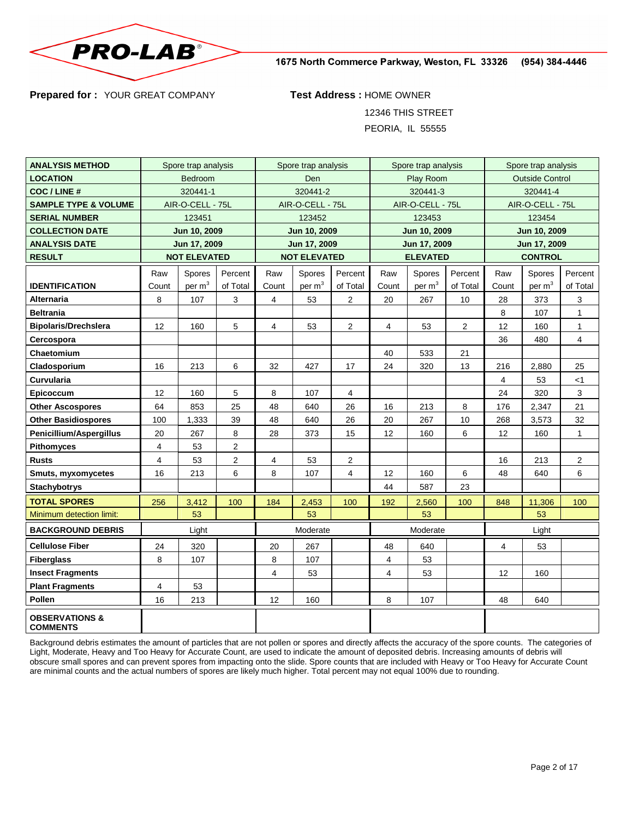

1675 North Commerce Parkway, Weston, FL 33326 (954) 384-4446

**Prepared for :** YOUR GREAT COMPANY **Test Address :** HOME OWNER

12346 THIS STREET

PEORIA, IL 55555

| <b>ANALYSIS METHOD</b>                       | Spore trap analysis |                     | Spore trap analysis |                     | Spore trap analysis |                         |                | Spore trap analysis |                        |                |                    |              |
|----------------------------------------------|---------------------|---------------------|---------------------|---------------------|---------------------|-------------------------|----------------|---------------------|------------------------|----------------|--------------------|--------------|
| <b>LOCATION</b>                              | Bedroom             |                     |                     | Den                 |                     | Play Room               |                |                     | <b>Outside Control</b> |                |                    |              |
| <b>COC / LINE #</b>                          | 320441-1            |                     |                     | 320441-2            |                     | 320441-3                |                |                     | 320441-4               |                |                    |              |
| <b>SAMPLE TYPE &amp; VOLUME</b>              | AIR-O-CELL - 75L    |                     | AIR-O-CELL - 75L    |                     | AIR-O-CELL - 75L    |                         |                | AIR-O-CELL - 75L    |                        |                |                    |              |
| <b>SERIAL NUMBER</b>                         |                     | 123451              |                     | 123452              |                     | 123453                  |                |                     | 123454                 |                |                    |              |
| <b>COLLECTION DATE</b>                       |                     | Jun 10, 2009        |                     |                     | Jun 10, 2009        |                         | Jun 10, 2009   |                     |                        | Jun 10, 2009   |                    |              |
| <b>ANALYSIS DATE</b>                         |                     | Jun 17, 2009        |                     |                     | Jun 17, 2009        |                         | Jun 17, 2009   |                     |                        | Jun 17, 2009   |                    |              |
| <b>RESULT</b>                                |                     | <b>NOT ELEVATED</b> |                     | <b>NOT ELEVATED</b> |                     | <b>ELEVATED</b>         |                |                     | <b>CONTROL</b>         |                |                    |              |
|                                              | Raw                 | Spores              | Percent             | Raw                 | Spores              | Percent                 | Raw            | Spores              | Percent                | Raw            | Spores             | Percent      |
| <b>IDENTIFICATION</b>                        | Count               | per m <sup>3</sup>  | of Total            | Count               | per m <sup>3</sup>  | of Total                | Count          | per m <sup>3</sup>  | of Total               | Count          | per m <sup>3</sup> | of Total     |
| <b>Alternaria</b>                            | 8                   | 107                 | 3                   | 4                   | 53                  | $\overline{2}$          | 20             | 267                 | 10                     | 28             | 373                | 3            |
| <b>Beltrania</b>                             |                     |                     |                     |                     |                     |                         |                |                     |                        | 8              | 107                | 1            |
| <b>Bipolaris/Drechslera</b>                  | 12                  | 160                 | 5                   | 4                   | 53                  | $\overline{\mathbf{c}}$ | 4              | 53                  | $\overline{2}$         | 12             | 160                | $\mathbf{1}$ |
| Cercospora                                   |                     |                     |                     |                     |                     |                         |                |                     |                        | 36             | 480                | 4            |
| Chaetomium                                   |                     |                     |                     |                     |                     |                         | 40             | 533                 | 21                     |                |                    |              |
| Cladosporium                                 | 16                  | 213                 | 6                   | 32                  | 427                 | 17                      | 24             | 320                 | 13                     | 216            | 2,880              | 25           |
| Curvularia                                   |                     |                     |                     |                     |                     |                         |                |                     |                        | $\overline{4}$ | 53                 | < 1          |
| Epicoccum                                    | 12                  | 160                 | 5                   | 8                   | 107                 | 4                       |                |                     |                        | 24             | 320                | 3            |
| <b>Other Ascospores</b>                      | 64                  | 853                 | 25                  | 48                  | 640                 | 26                      | 16             | 213                 | 8                      | 176            | 2,347              | 21           |
| <b>Other Basidiospores</b>                   | 100                 | 1,333               | 39                  | 48                  | 640                 | 26                      | 20             | 267                 | 10                     | 268            | 3,573              | 32           |
| Penicillium/Aspergillus                      | 20                  | 267                 | 8                   | 28                  | 373                 | 15                      | 12             | 160                 | 6                      | 12             | 160                | $\mathbf{1}$ |
| <b>Pithomyces</b>                            | 4                   | 53                  | 2                   |                     |                     |                         |                |                     |                        |                |                    |              |
| <b>Rusts</b>                                 | 4                   | 53                  | 2                   | 4                   | 53                  | $\overline{2}$          |                |                     |                        | 16             | 213                | 2            |
| Smuts, myxomycetes                           | 16                  | 213                 | 6                   | 8                   | 107                 | 4                       | 12             | 160                 | 6                      | 48             | 640                | 6            |
| <b>Stachybotrys</b>                          |                     |                     |                     |                     |                     |                         | 44             | 587                 | 23                     |                |                    |              |
| <b>TOTAL SPORES</b>                          | 256                 | 3,412               | 100                 | 184                 | 2,453               | 100                     | 192            | 2,560               | 100                    | 848            | 11,306             | 100          |
| Minimum detection limit:                     |                     | 53                  |                     |                     | 53                  |                         |                | 53                  |                        |                | 53                 |              |
| <b>BACKGROUND DEBRIS</b>                     |                     | Light               |                     | Moderate            |                     | Moderate                |                |                     | Light                  |                |                    |              |
| <b>Cellulose Fiber</b>                       | 24                  | 320                 |                     | 20                  | 267                 |                         | 48             | 640                 |                        | $\overline{4}$ | 53                 |              |
| <b>Fiberglass</b>                            | 8                   | 107                 |                     | 8                   | 107                 |                         | 4              | 53                  |                        |                |                    |              |
| <b>Insect Fragments</b>                      |                     |                     |                     | $\overline{4}$      | 53                  |                         | $\overline{4}$ | 53                  |                        | 12             | 160                |              |
| <b>Plant Fragments</b>                       | 4                   | 53                  |                     |                     |                     |                         |                |                     |                        |                |                    |              |
| Pollen                                       | 16                  | 213                 |                     | 12                  | 160                 |                         | 8              | 107                 |                        | 48             | 640                |              |
| <b>OBSERVATIONS &amp;</b><br><b>COMMENTS</b> |                     |                     |                     |                     |                     |                         |                |                     |                        |                |                    |              |

Background debris estimates the amount of particles that are not pollen or spores and directly affects the accuracy of the spore counts. The categories of Light, Moderate, Heavy and Too Heavy for Accurate Count, are used to indicate the amount of deposited debris. Increasing amounts of debris will obscure small spores and can prevent spores from impacting onto the slide. Spore counts that are included with Heavy or Too Heavy for Accurate Count are minimal counts and the actual numbers of spores are likely much higher. Total percent may not equal 100% due to rounding.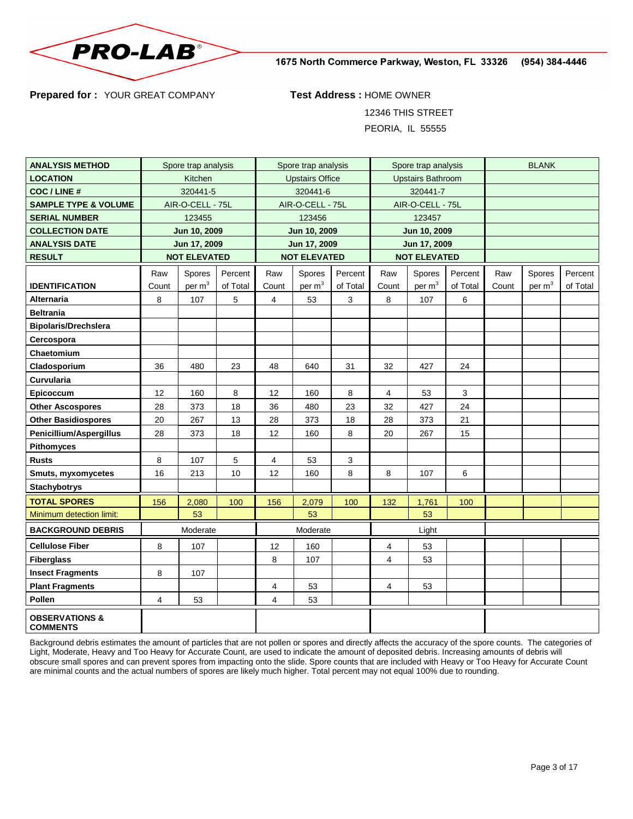

1675 North Commerce Parkway, Weston, FL 33326 (954) 384-4446

**Prepared for :** YOUR GREAT COMPANY **Test Address :** HOME OWNER

12346 THIS STREET

PEORIA, IL 55555

| <b>ANALYSIS METHOD</b>                       | Spore trap analysis |                     |                  | Spore trap analysis    |                    | Spore trap analysis      |                |          | <b>BLANK</b> |       |          |          |
|----------------------------------------------|---------------------|---------------------|------------------|------------------------|--------------------|--------------------------|----------------|----------|--------------|-------|----------|----------|
| <b>LOCATION</b>                              | Kitchen             |                     |                  | <b>Upstairs Office</b> |                    | <b>Upstairs Bathroom</b> |                |          |              |       |          |          |
| <b>COC/LINE#</b>                             | 320441-5            |                     |                  | 320441-6               |                    | 320441-7                 |                |          |              |       |          |          |
| <b>SAMPLE TYPE &amp; VOLUME</b>              | AIR-O-CELL - 75L    |                     | AIR-O-CELL - 75L |                        | AIR-O-CELL - 75L   |                          |                |          |              |       |          |          |
| <b>SERIAL NUMBER</b>                         |                     | 123455              |                  |                        | 123456             |                          | 123457         |          |              |       |          |          |
| <b>COLLECTION DATE</b>                       |                     | Jun 10, 2009        |                  | Jun 10, 2009           |                    | Jun 10, 2009             |                |          |              |       |          |          |
| <b>ANALYSIS DATE</b>                         |                     | Jun 17, 2009        |                  | Jun 17, 2009           |                    | Jun 17, 2009             |                |          |              |       |          |          |
| <b>RESULT</b>                                |                     | <b>NOT ELEVATED</b> |                  | <b>NOT ELEVATED</b>    |                    | <b>NOT ELEVATED</b>      |                |          |              |       |          |          |
|                                              | Raw                 | Spores              | Percent          | Raw                    | Spores             | Percent                  | Raw            | Spores   | Percent      | Raw   | Spores   | Percent  |
| <b>IDENTIFICATION</b>                        | Count               | per $m3$            | of Total         | Count                  | per m <sup>3</sup> | of Total                 | Count          | per $m3$ | of Total     | Count | per $m3$ | of Total |
| Alternaria                                   | 8                   | 107                 | 5                | 4                      | 53                 | 3                        | 8              | 107      | 6            |       |          |          |
| <b>Beltrania</b>                             |                     |                     |                  |                        |                    |                          |                |          |              |       |          |          |
| <b>Bipolaris/Drechslera</b>                  |                     |                     |                  |                        |                    |                          |                |          |              |       |          |          |
| Cercospora                                   |                     |                     |                  |                        |                    |                          |                |          |              |       |          |          |
| Chaetomium                                   |                     |                     |                  |                        |                    |                          |                |          |              |       |          |          |
| Cladosporium                                 | 36                  | 480                 | 23               | 48                     | 640                | 31                       | 32             | 427      | 24           |       |          |          |
| <b>Curvularia</b>                            |                     |                     |                  |                        |                    |                          |                |          |              |       |          |          |
| Epicoccum                                    | 12                  | 160                 | 8                | 12                     | 160                | 8                        | $\overline{4}$ | 53       | 3            |       |          |          |
| <b>Other Ascospores</b>                      | 28                  | 373                 | 18               | 36                     | 480                | 23                       | 32             | 427      | 24           |       |          |          |
| <b>Other Basidiospores</b>                   | 20                  | 267                 | 13               | 28                     | 373                | 18                       | 28             | 373      | 21           |       |          |          |
| Penicillium/Aspergillus                      | 28                  | 373                 | 18               | 12                     | 160                | 8                        | 20             | 267      | 15           |       |          |          |
| Pithomyces                                   |                     |                     |                  |                        |                    |                          |                |          |              |       |          |          |
| Rusts                                        | 8                   | 107                 | 5                | 4                      | 53                 | 3                        |                |          |              |       |          |          |
| Smuts, myxomycetes                           | 16                  | 213                 | 10               | 12                     | 160                | 8                        | 8              | 107      | 6            |       |          |          |
| <b>Stachybotrys</b>                          |                     |                     |                  |                        |                    |                          |                |          |              |       |          |          |
| <b>TOTAL SPORES</b>                          | 156                 | 2,080               | 100              | 156                    | 2,079              | 100                      | 132            | 1,761    | 100          |       |          |          |
| Minimum detection limit:                     |                     | 53                  |                  |                        | 53                 |                          |                | 53       |              |       |          |          |
| <b>BACKGROUND DEBRIS</b>                     | Moderate            |                     | Moderate         |                        | Light              |                          |                |          |              |       |          |          |
| <b>Cellulose Fiber</b>                       | 8                   | 107                 |                  | 12                     | 160                |                          | 4              | 53       |              |       |          |          |
| <b>Fiberglass</b>                            |                     |                     |                  | 8                      | 107                |                          | 4              | 53       |              |       |          |          |
| <b>Insect Fragments</b>                      | 8                   | 107                 |                  |                        |                    |                          |                |          |              |       |          |          |
| <b>Plant Fragments</b>                       |                     |                     |                  | 4                      | 53                 |                          | 4              | 53       |              |       |          |          |
| Pollen                                       | 4                   | 53                  |                  | 4                      | 53                 |                          |                |          |              |       |          |          |
| <b>OBSERVATIONS &amp;</b><br><b>COMMENTS</b> |                     |                     |                  |                        |                    |                          |                |          |              |       |          |          |

Background debris estimates the amount of particles that are not pollen or spores and directly affects the accuracy of the spore counts. The categories of Light, Moderate, Heavy and Too Heavy for Accurate Count, are used to indicate the amount of deposited debris. Increasing amounts of debris will obscure small spores and can prevent spores from impacting onto the slide. Spore counts that are included with Heavy or Too Heavy for Accurate Count are minimal counts and the actual numbers of spores are likely much higher. Total percent may not equal 100% due to rounding.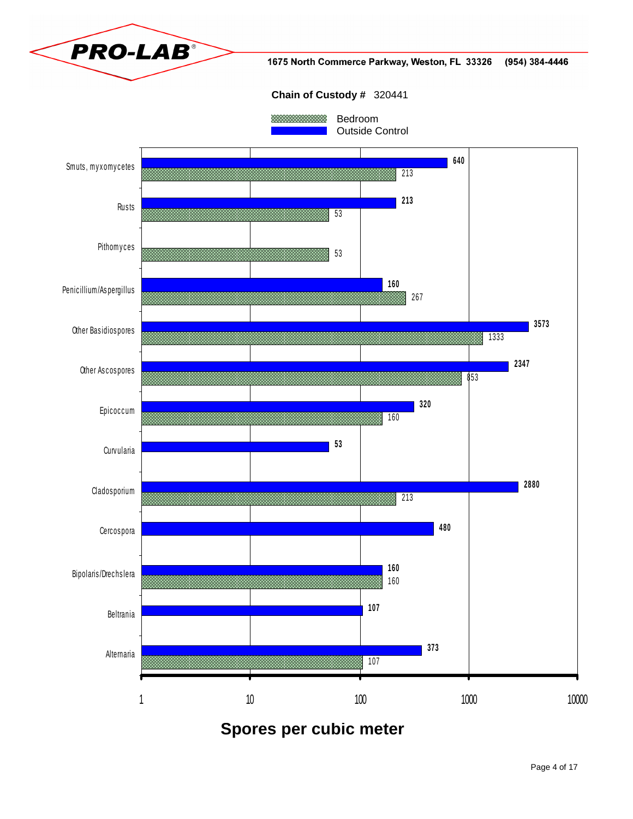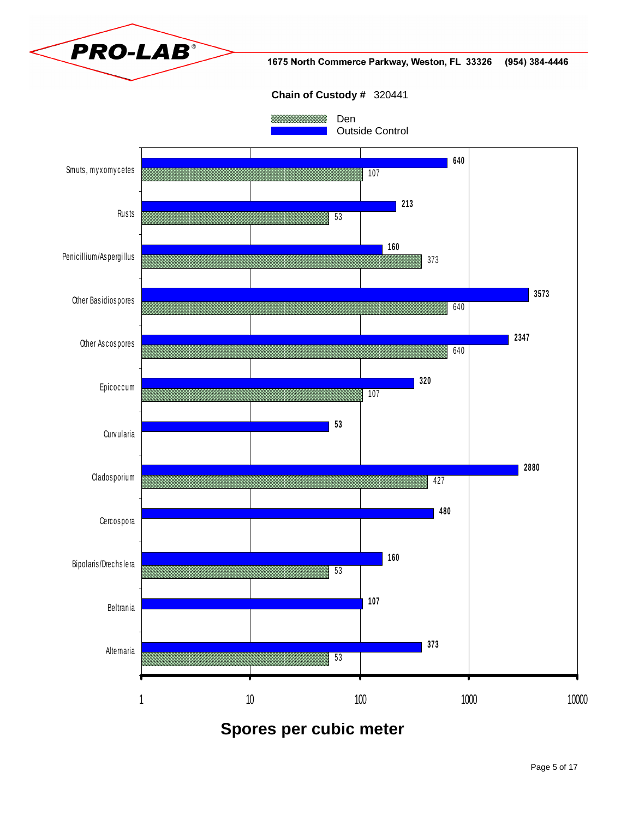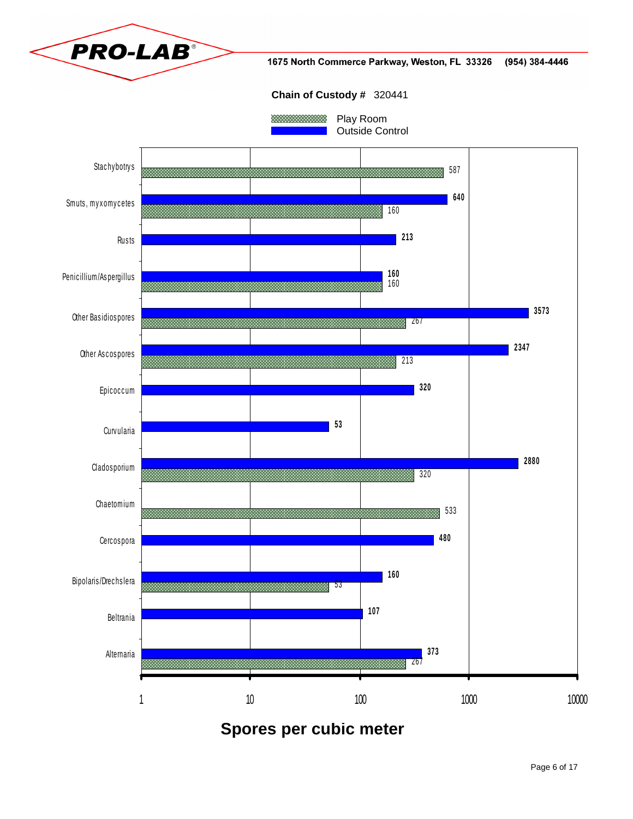

Spores per cubic meter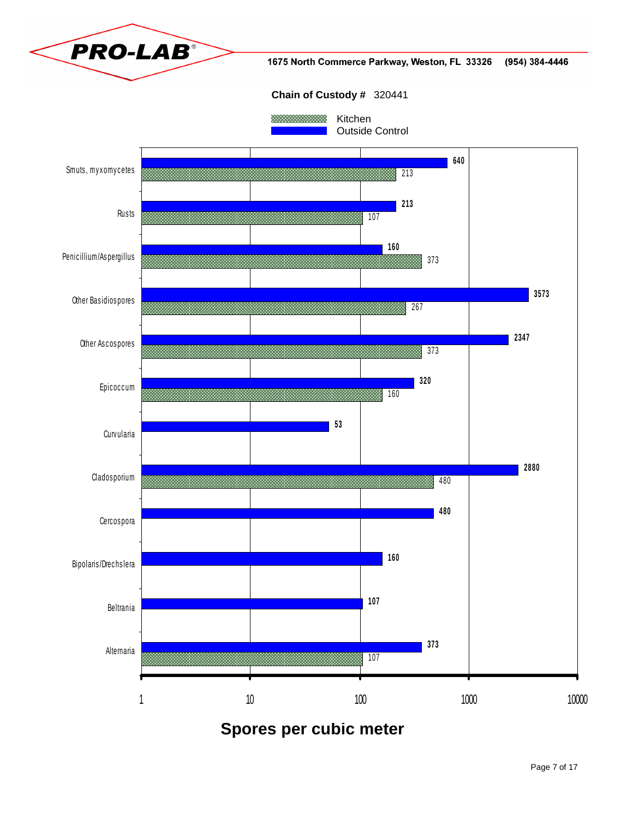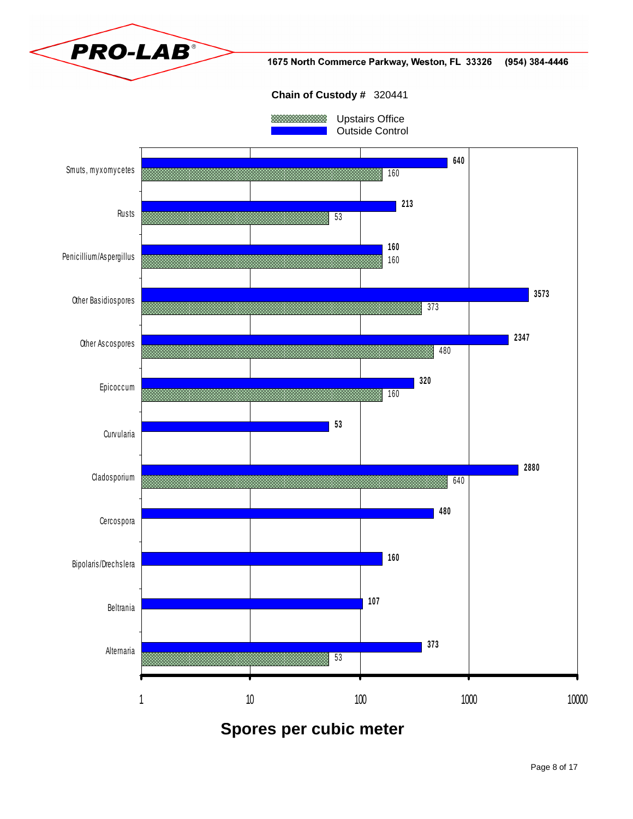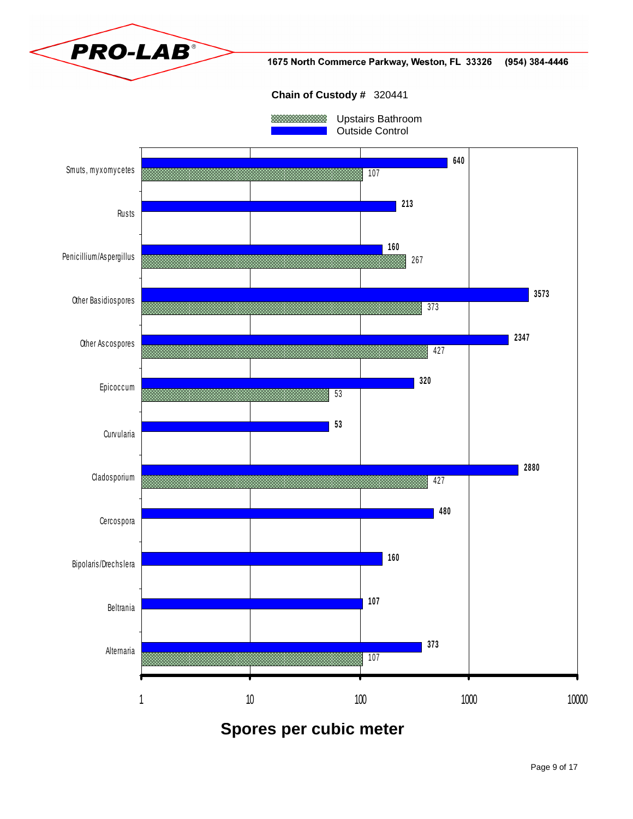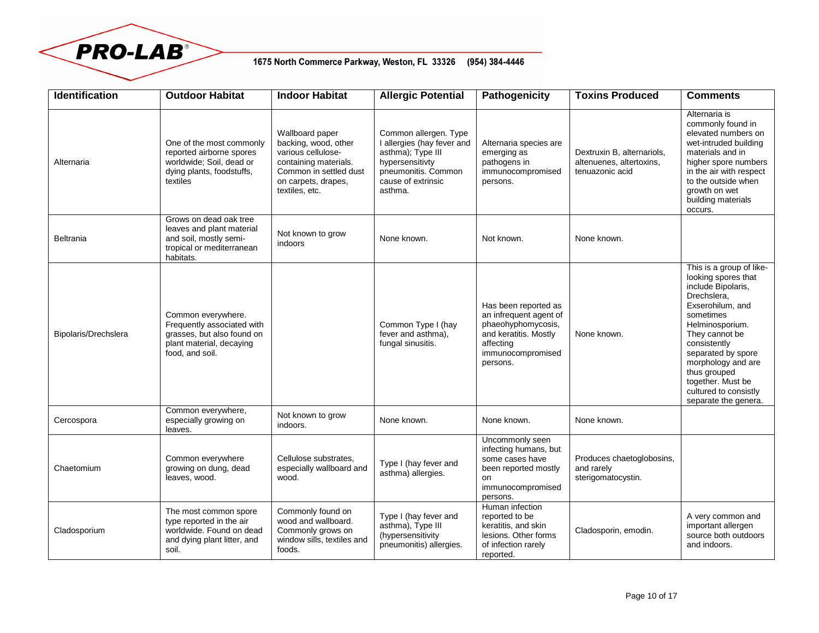

## 1675 North Commerce Parkway, Weston, FL 33326 (954) 384-4446

| <b>Identification</b> | <b>Outdoor Habitat</b>                                                                                                        | <b>Indoor Habitat</b>                                                                                                                                     | <b>Allergic Potential</b>                                                                                                                           | <b>Pathogenicity</b>                                                                                                                        | <b>Toxins Produced</b>                                                    | <b>Comments</b>                                                                                                                                                                                                                                                                                              |
|-----------------------|-------------------------------------------------------------------------------------------------------------------------------|-----------------------------------------------------------------------------------------------------------------------------------------------------------|-----------------------------------------------------------------------------------------------------------------------------------------------------|---------------------------------------------------------------------------------------------------------------------------------------------|---------------------------------------------------------------------------|--------------------------------------------------------------------------------------------------------------------------------------------------------------------------------------------------------------------------------------------------------------------------------------------------------------|
| Alternaria            | One of the most commonly<br>reported airborne spores<br>worldwide; Soil, dead or<br>dying plants, foodstuffs,<br>textiles     | Wallboard paper<br>backing, wood, other<br>various cellulose-<br>containing materials.<br>Common in settled dust<br>on carpets, drapes,<br>textiles, etc. | Common allergen. Type<br>I allergies (hay fever and<br>asthma); Type III<br>hypersensitivty<br>pneumonitis. Common<br>cause of extrinsic<br>asthma. | Alternaria species are<br>emerging as<br>pathogens in<br>immunocompromised<br>persons.                                                      | Dextruxin B, alternariols,<br>altenuenes, altertoxins,<br>tenuazonic acid | Alternaria is<br>commonly found in<br>elevated numbers on<br>wet-intruded building<br>materials and in<br>higher spore numbers<br>in the air with respect<br>to the outside when<br>growth on wet<br>building materials<br>occurs.                                                                           |
| <b>Beltrania</b>      | Grows on dead oak tree<br>leaves and plant material<br>and soil, mostly semi-<br>tropical or mediterranean<br>habitats.       | Not known to grow<br>indoors                                                                                                                              | None known.                                                                                                                                         | Not known.                                                                                                                                  | None known.                                                               |                                                                                                                                                                                                                                                                                                              |
| Bipolaris/Drechslera  | Common everywhere.<br>Frequently associated with<br>grasses, but also found on<br>plant material, decaying<br>food, and soil. |                                                                                                                                                           | Common Type I (hay<br>fever and asthma).<br>fungal sinusitis.                                                                                       | Has been reported as<br>an infrequent agent of<br>phaeohyphomycosis,<br>and keratitis. Mostly<br>affecting<br>immunocompromised<br>persons. | None known.                                                               | This is a group of like-<br>looking spores that<br>include Bipolaris,<br>Drechslera,<br>Exserohilum, and<br>sometimes<br>Helminosporium.<br>They cannot be<br>consistently<br>separated by spore<br>morphology and are<br>thus grouped<br>together. Must be<br>cultured to consistly<br>separate the genera. |
| Cercospora            | Common everywhere,<br>especially growing on<br>leaves.                                                                        | Not known to grow<br>indoors.                                                                                                                             | None known.                                                                                                                                         | None known.                                                                                                                                 | None known.                                                               |                                                                                                                                                                                                                                                                                                              |
| Chaetomium            | Common everywhere<br>growing on dung, dead<br>leaves, wood.                                                                   | Cellulose substrates,<br>especially wallboard and<br>wood.                                                                                                | Type I (hay fever and<br>asthma) allergies.                                                                                                         | Uncommonly seen<br>infecting humans, but<br>some cases have<br>been reported mostly<br>on<br>immunocompromised<br>persons.                  | Produces chaetoglobosins,<br>and rarely<br>sterigomatocystin.             |                                                                                                                                                                                                                                                                                                              |
| Cladosporium          | The most common spore<br>type reported in the air<br>worldwide. Found on dead<br>and dying plant litter, and<br>soil.         | Commonly found on<br>wood and wallboard.<br>Commonly grows on<br>window sills, textiles and<br>foods.                                                     | Type I (hay fever and<br>asthma), Type III<br>(hypersensitivity<br>pneumonitis) allergies.                                                          | Human infection<br>reported to be<br>keratitis, and skin<br>lesions. Other forms<br>of infection rarely<br>reported.                        | Cladosporin, emodin.                                                      | A very common and<br>important allergen<br>source both outdoors<br>and indoors.                                                                                                                                                                                                                              |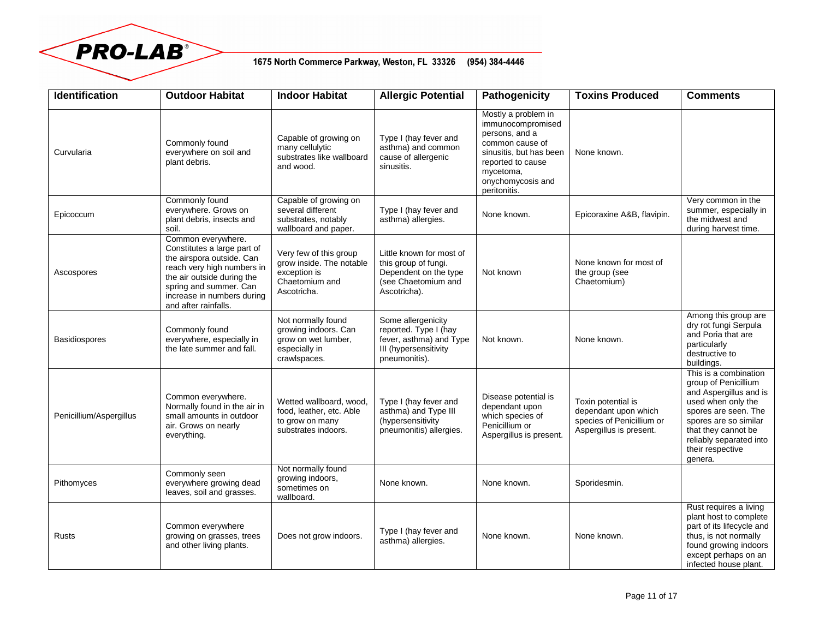

## 1675 North Commerce Parkway, Weston, FL 33326 (954) 384-4446

| <b>Identification</b>   | <b>Outdoor Habitat</b>                                                                                                                                                                                                     | <b>Indoor Habitat</b>                                                                               | <b>Allergic Potential</b>                                                                                        | Pathogenicity                                                                                                                                                                   | <b>Toxins Produced</b>                                                                             | <b>Comments</b>                                                                                                                                                                                                                 |
|-------------------------|----------------------------------------------------------------------------------------------------------------------------------------------------------------------------------------------------------------------------|-----------------------------------------------------------------------------------------------------|------------------------------------------------------------------------------------------------------------------|---------------------------------------------------------------------------------------------------------------------------------------------------------------------------------|----------------------------------------------------------------------------------------------------|---------------------------------------------------------------------------------------------------------------------------------------------------------------------------------------------------------------------------------|
| Curvularia              | Commonly found<br>everywhere on soil and<br>plant debris.                                                                                                                                                                  | Capable of growing on<br>many cellulytic<br>substrates like wallboard<br>and wood.                  | Type I (hay fever and<br>asthma) and common<br>cause of allergenic<br>sinusitis.                                 | Mostly a problem in<br>immunocompromised<br>persons, and a<br>common cause of<br>sinusitis, but has been<br>reported to cause<br>mycetoma,<br>onychomycosis and<br>peritonitis. | None known.                                                                                        |                                                                                                                                                                                                                                 |
| Epicoccum               | Commonly found<br>everywhere. Grows on<br>plant debris, insects and<br>soil.                                                                                                                                               | Capable of growing on<br>several different<br>substrates, notably<br>wallboard and paper.           | Type I (hay fever and<br>asthma) allergies.                                                                      | None known.                                                                                                                                                                     | Epicoraxine A&B, flavipin.                                                                         | Very common in the<br>summer, especially in<br>the midwest and<br>during harvest time.                                                                                                                                          |
| Ascospores              | Common everywhere.<br>Constitutes a large part of<br>the airspora outside. Can<br>reach very high numbers in<br>the air outside during the<br>spring and summer. Can<br>increase in numbers during<br>and after rainfalls. | Very few of this group<br>grow inside. The notable<br>exception is<br>Chaetomium and<br>Ascotricha. | Little known for most of<br>this group of fungi.<br>Dependent on the type<br>(see Chaetomium and<br>Ascotricha). | Not known                                                                                                                                                                       | None known for most of<br>the group (see<br>Chaetomium)                                            |                                                                                                                                                                                                                                 |
| <b>Basidiospores</b>    | Commonly found<br>everywhere, especially in<br>the late summer and fall.                                                                                                                                                   | Not normally found<br>growing indoors. Can<br>grow on wet lumber,<br>especially in<br>crawlspaces.  | Some allergenicity<br>reported. Type I (hay<br>fever, asthma) and Type<br>III (hypersensitivity<br>pneumonitis). | Not known.                                                                                                                                                                      | None known.                                                                                        | Among this group are<br>dry rot fungi Serpula<br>and Poria that are<br>particularly<br>destructive to<br>buildings.                                                                                                             |
| Penicillium/Aspergillus | Common everywhere.<br>Normally found in the air in<br>small amounts in outdoor<br>air. Grows on nearly<br>everything.                                                                                                      | Wetted wallboard, wood,<br>food, leather, etc. Able<br>to grow on many<br>substrates indoors.       | Type I (hay fever and<br>asthma) and Type III<br>(hypersensitivity<br>pneumonitis) allergies.                    | Disease potential is<br>dependant upon<br>which species of<br>Penicillium or<br>Aspergillus is present.                                                                         | Toxin potential is<br>dependant upon which<br>species of Penicillium or<br>Aspergillus is present. | This is a combination<br>group of Penicillium<br>and Aspergillus and is<br>used when only the<br>spores are seen. The<br>spores are so similar<br>that they cannot be<br>reliably separated into<br>their respective<br>genera. |
| Pithomyces              | Commonly seen<br>everywhere growing dead<br>leaves, soil and grasses.                                                                                                                                                      | Not normally found<br>growing indoors,<br>sometimes on<br>wallboard.                                | None known.                                                                                                      | None known.                                                                                                                                                                     | Sporidesmin.                                                                                       |                                                                                                                                                                                                                                 |
| Rusts                   | Common everywhere<br>growing on grasses, trees<br>and other living plants.                                                                                                                                                 | Does not grow indoors.                                                                              | Type I (hay fever and<br>asthma) allergies.                                                                      | None known.                                                                                                                                                                     | None known.                                                                                        | Rust requires a living<br>plant host to complete<br>part of its lifecycle and<br>thus, is not normally<br>found growing indoors<br>except perhaps on an<br>infected house plant.                                                |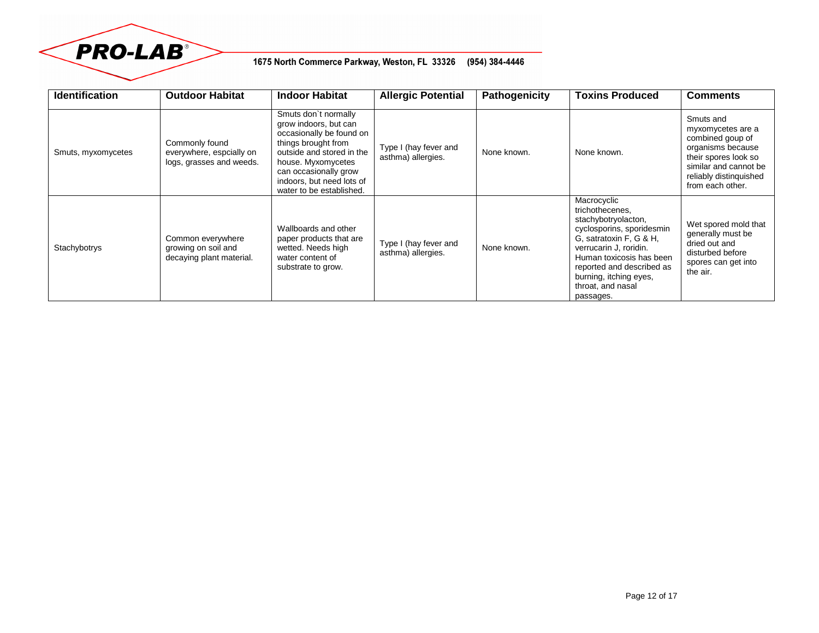

## 1675 North Commerce Parkway, Weston, FL 33326 (954) 384-4446

| <b>Identification</b> | <b>Outdoor Habitat</b>                                                 | <b>Indoor Habitat</b>                                                                                                                                                                                                                 | <b>Allergic Potential</b>                   | Pathogenicity | <b>Toxins Produced</b>                                                                                                                                                                                                                                       | <b>Comments</b>                                                                                                                                                        |
|-----------------------|------------------------------------------------------------------------|---------------------------------------------------------------------------------------------------------------------------------------------------------------------------------------------------------------------------------------|---------------------------------------------|---------------|--------------------------------------------------------------------------------------------------------------------------------------------------------------------------------------------------------------------------------------------------------------|------------------------------------------------------------------------------------------------------------------------------------------------------------------------|
| Smuts, myxomycetes    | Commonly found<br>everywhere, espcially on<br>logs, grasses and weeds. | Smuts don't normally<br>grow indoors, but can<br>occasionally be found on<br>things brought from<br>outside and stored in the<br>house. Myxomycetes<br>can occasionally grow<br>indoors, but need lots of<br>water to be established. | Type I (hay fever and<br>asthma) allergies. | None known.   | None known.                                                                                                                                                                                                                                                  | Smuts and<br>myxomycetes are a<br>combined goup of<br>organisms because<br>their spores look so<br>similar and cannot be<br>reliably distinguished<br>from each other. |
| Stachybotrys          | Common everywhere<br>growing on soil and<br>decaying plant material.   | Wallboards and other<br>paper products that are<br>wetted. Needs high<br>water content of<br>substrate to grow.                                                                                                                       | Type I (hay fever and<br>asthma) allergies. | None known.   | Macrocyclic<br>trichothecenes,<br>stachybotryolacton,<br>cyclosporins, sporidesmin<br>G, satratoxin F, G & H,<br>verrucarin J, roridin.<br>Human toxicosis has been<br>reported and described as<br>burning, itching eyes,<br>throat, and nasal<br>passages. | Wet spored mold that<br>generally must be<br>dried out and<br>disturbed before<br>spores can get into<br>the air.                                                      |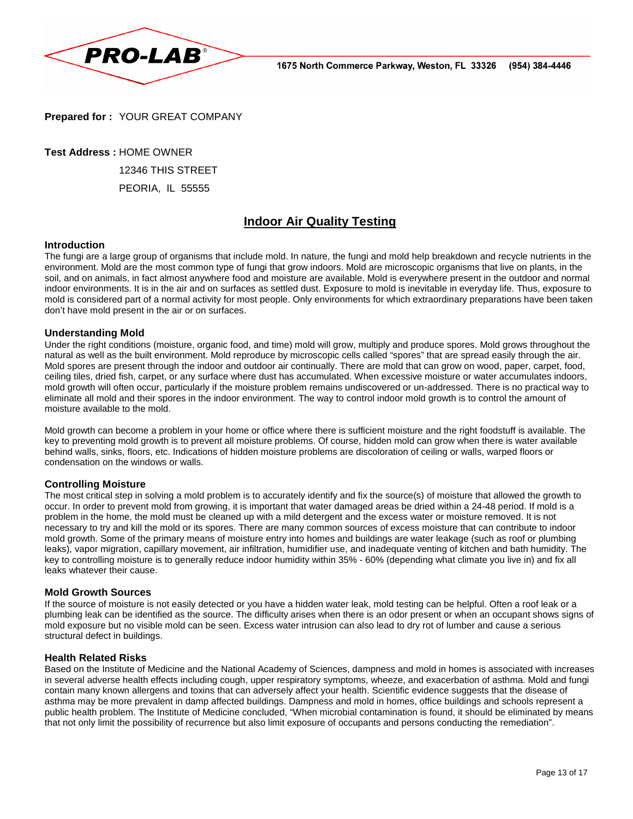

**Prepared for :** YOUR GREAT COMPANY

**Test Address :** HOME OWNER

12346 THIS STREET

PEORIA, IL 55555

# **Indoor Air Quality Testing**

#### **Introduction**

The fungi are a large group of organisms that include mold. In nature, the fungi and mold help breakdown and recycle nutrients in the environment. Mold are the most common type of fungi that grow indoors. Mold are microscopic organisms that live on plants, in the soil, and on animals, in fact almost anywhere food and moisture are available. Mold is everywhere present in the outdoor and normal indoor environments. It is in the air and on surfaces as settled dust. Exposure to mold is inevitable in everyday life. Thus, exposure to mold is considered part of a normal activity for most people. Only environments for which extraordinary preparations have been taken don't have mold present in the air or on surfaces.

#### **Understanding Mold**

Under the right conditions (moisture, organic food, and time) mold will grow, multiply and produce spores. Mold grows throughout the natural as well as the built environment. Mold reproduce by microscopic cells called "spores" that are spread easily through the air. Mold spores are present through the indoor and outdoor air continually. There are mold that can grow on wood, paper, carpet, food, ceiling tiles, dried fish, carpet, or any surface where dust has accumulated. When excessive moisture or water accumulates indoors, mold growth will often occur, particularly if the moisture problem remains undiscovered or un-addressed. There is no practical way to eliminate all mold and their spores in the indoor environment. The way to control indoor mold growth is to control the amount of moisture available to the mold.

Mold growth can become a problem in your home or office where there is sufficient moisture and the right foodstuff is available. The key to preventing mold growth is to prevent all moisture problems. Of course, hidden mold can grow when there is water available behind walls, sinks, floors, etc. Indications of hidden moisture problems are discoloration of ceiling or walls, warped floors or condensation on the windows or walls.

#### **Controlling Moisture**

The most critical step in solving a mold problem is to accurately identify and fix the source(s) of moisture that allowed the growth to occur. In order to prevent mold from growing, it is important that water damaged areas be dried within a 24-48 period. If mold is a problem in the home, the mold must be cleaned up with a mild detergent and the excess water or moisture removed. It is not necessary to try and kill the mold or its spores. There are many common sources of excess moisture that can contribute to indoor mold growth. Some of the primary means of moisture entry into homes and buildings are water leakage (such as roof or plumbing leaks), vapor migration, capillary movement, air infiltration, humidifier use, and inadequate venting of kitchen and bath humidity. The key to controlling moisture is to generally reduce indoor humidity within 35% - 60% (depending what climate you live in) and fix all leaks whatever their cause.

#### **Mold Growth Sources**

If the source of moisture is not easily detected or you have a hidden water leak, mold testing can be helpful. Often a roof leak or a plumbing leak can be identified as the source. The difficulty arises when there is an odor present or when an occupant shows signs of mold exposure but no visible mold can be seen. Excess water intrusion can also lead to dry rot of lumber and cause a serious structural defect in buildings.

#### **Health Related Risks**

Based on the Institute of Medicine and the National Academy of Sciences, dampness and mold in homes is associated with increases in several adverse health effects including cough, upper respiratory symptoms, wheeze, and exacerbation of asthma. Mold and fungi contain many known allergens and toxins that can adversely affect your health. Scientific evidence suggests that the disease of asthma may be more prevalent in damp affected buildings. Dampness and mold in homes, office buildings and schools represent a public health problem. The Institute of Medicine concluded, "When microbial contamination is found, it should be eliminated by means that not only limit the possibility of recurrence but also limit exposure of occupants and persons conducting the remediation".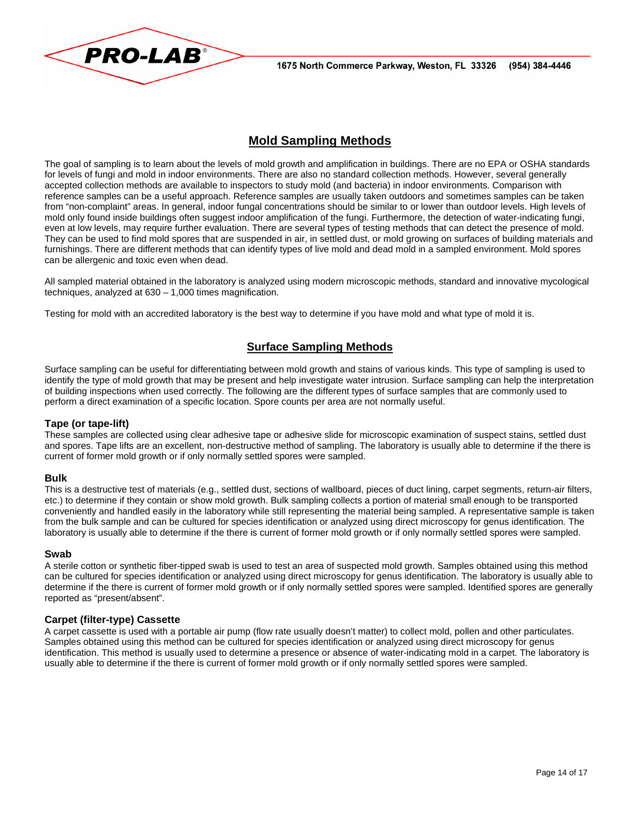



# **Mold Sampling Methods**

The goal of sampling is to learn about the levels of mold growth and amplification in buildings. There are no EPA or OSHA standards for levels of fungi and mold in indoor environments. There are also no standard collection methods. However, several generally accepted collection methods are available to inspectors to study mold (and bacteria) in indoor environments. Comparison with reference samples can be a useful approach. Reference samples are usually taken outdoors and sometimes samples can be taken from "non-complaint" areas. In general, indoor fungal concentrations should be similar to or lower than outdoor levels. High levels of mold only found inside buildings often suggest indoor amplification of the fungi. Furthermore, the detection of water-indicating fungi, even at low levels, may require further evaluation. There are several types of testing methods that can detect the presence of mold. They can be used to find mold spores that are suspended in air, in settled dust, or mold growing on surfaces of building materials and furnishings. There are different methods that can identify types of live mold and dead mold in a sampled environment. Mold spores can be allergenic and toxic even when dead.

All sampled material obtained in the laboratory is analyzed using modern microscopic methods, standard and innovative mycological techniques, analyzed at 630 – 1,000 times magnification.

Testing for mold with an accredited laboratory is the best way to determine if you have mold and what type of mold it is.

## **Surface Sampling Methods**

Surface sampling can be useful for differentiating between mold growth and stains of various kinds. This type of sampling is used to identify the type of mold growth that may be present and help investigate water intrusion. Surface sampling can help the interpretation of building inspections when used correctly. The following are the different types of surface samples that are commonly used to perform a direct examination of a specific location. Spore counts per area are not normally useful.

#### **Tape (or tape-lift)**

These samples are collected using clear adhesive tape or adhesive slide for microscopic examination of suspect stains, settled dust and spores. Tape lifts are an excellent, non-destructive method of sampling. The laboratory is usually able to determine if the there is current of former mold growth or if only normally settled spores were sampled.

#### **Bulk**

This is a destructive test of materials (e.g., settled dust, sections of wallboard, pieces of duct lining, carpet segments, return-air filters, etc.) to determine if they contain or show mold growth. Bulk sampling collects a portion of material small enough to be transported conveniently and handled easily in the laboratory while still representing the material being sampled. A representative sample is taken from the bulk sample and can be cultured for species identification or analyzed using direct microscopy for genus identification. The laboratory is usually able to determine if the there is current of former mold growth or if only normally settled spores were sampled.

#### **Swab**

A sterile cotton or synthetic fiber-tipped swab is used to test an area of suspected mold growth. Samples obtained using this method can be cultured for species identification or analyzed using direct microscopy for genus identification. The laboratory is usually able to determine if the there is current of former mold growth or if only normally settled spores were sampled. Identified spores are generally reported as "present/absent".

#### **Carpet (filter-type) Cassette**

A carpet cassette is used with a portable air pump (flow rate usually doesn't matter) to collect mold, pollen and other particulates. Samples obtained using this method can be cultured for species identification or analyzed using direct microscopy for genus identification. This method is usually used to determine a presence or absence of water-indicating mold in a carpet. The laboratory is usually able to determine if the there is current of former mold growth or if only normally settled spores were sampled.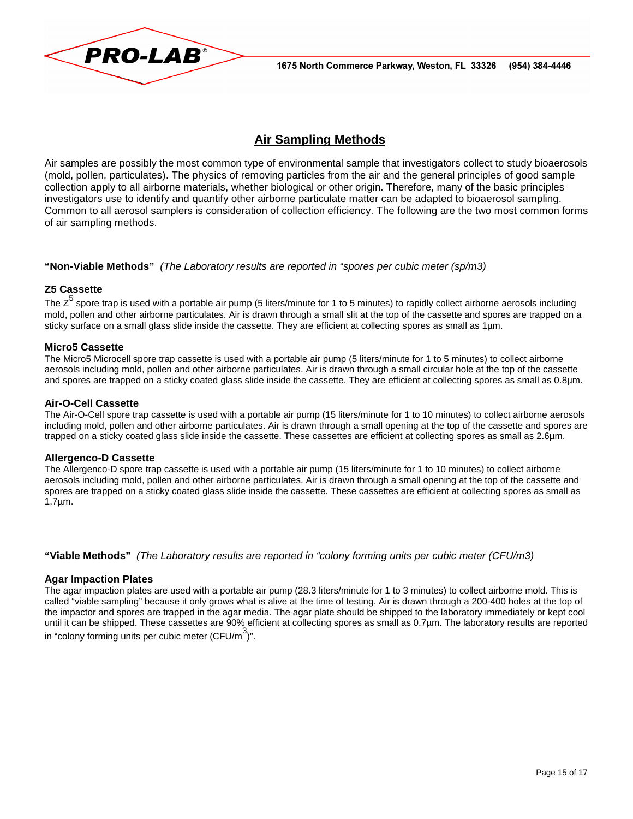

# **Air Sampling Methods**

Air samples are possibly the most common type of environmental sample that investigators collect to study bioaerosols (mold, pollen, particulates). The physics of removing particles from the air and the general principles of good sample collection apply to all airborne materials, whether biological or other origin. Therefore, many of the basic principles investigators use to identify and quantify other airborne particulate matter can be adapted to bioaerosol sampling. Common to all aerosol samplers is consideration of collection efficiency. The following are the two most common forms of air sampling methods.

#### **"Non-Viable Methods"** (The Laboratory results are reported in "spores per cubic meter (sp/m3)

#### **Z5 Cassette**

The Z<sup>5</sup> spore trap is used with a portable air pump (5 liters/minute for 1 to 5 minutes) to rapidly collect airborne aerosols including mold, pollen and other airborne particulates. Air is drawn through a small slit at the top of the cassette and spores are trapped on a sticky surface on a small glass slide inside the cassette. They are efficient at collecting spores as small as 1µm.

#### **Micro5 Cassette**

The Micro5 Microcell spore trap cassette is used with a portable air pump (5 liters/minute for 1 to 5 minutes) to collect airborne aerosols including mold, pollen and other airborne particulates. Air is drawn through a small circular hole at the top of the cassette and spores are trapped on a sticky coated glass slide inside the cassette. They are efficient at collecting spores as small as 0.8µm.

#### **Air-O-Cell Cassette**

The Air-O-Cell spore trap cassette is used with a portable air pump (15 liters/minute for 1 to 10 minutes) to collect airborne aerosols including mold, pollen and other airborne particulates. Air is drawn through a small opening at the top of the cassette and spores are trapped on a sticky coated glass slide inside the cassette. These cassettes are efficient at collecting spores as small as 2.6µm.

#### **Allergenco-D Cassette**

The Allergenco-D spore trap cassette is used with a portable air pump (15 liters/minute for 1 to 10 minutes) to collect airborne aerosols including mold, pollen and other airborne particulates. Air is drawn through a small opening at the top of the cassette and spores are trapped on a sticky coated glass slide inside the cassette. These cassettes are efficient at collecting spores as small as 1.7µm.

**"Viable Methods"** (The Laboratory results are reported in "colony forming units per cubic meter (CFU/m3)

#### **Agar Impaction Plates**

The agar impaction plates are used with a portable air pump (28.3 liters/minute for 1 to 3 minutes) to collect airborne mold. This is called "viable sampling" because it only grows what is alive at the time of testing. Air is drawn through a 200-400 holes at the top of the impactor and spores are trapped in the agar media. The agar plate should be shipped to the laboratory immediately or kept cool until it can be shipped. These cassettes are 90% efficient at collecting spores as small as 0.7µm. The laboratory results are reported in "colony forming units per cubic meter (CFU/m $^3$ )".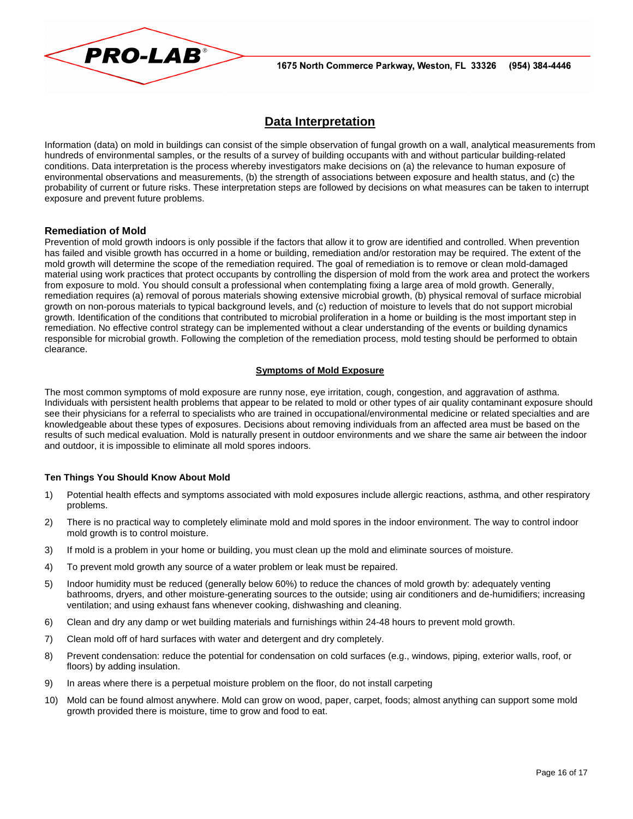

# **Data Interpretation**

Information (data) on mold in buildings can consist of the simple observation of fungal growth on a wall, analytical measurements from hundreds of environmental samples, or the results of a survey of building occupants with and without particular building-related conditions. Data interpretation is the process whereby investigators make decisions on (a) the relevance to human exposure of environmental observations and measurements, (b) the strength of associations between exposure and health status, and (c) the probability of current or future risks. These interpretation steps are followed by decisions on what measures can be taken to interrupt exposure and prevent future problems.

#### **Remediation of Mold**

Prevention of mold growth indoors is only possible if the factors that allow it to grow are identified and controlled. When prevention has failed and visible growth has occurred in a home or building, remediation and/or restoration may be required. The extent of the mold growth will determine the scope of the remediation required. The goal of remediation is to remove or clean mold-damaged material using work practices that protect occupants by controlling the dispersion of mold from the work area and protect the workers from exposure to mold. You should consult a professional when contemplating fixing a large area of mold growth. Generally, remediation requires (a) removal of porous materials showing extensive microbial growth, (b) physical removal of surface microbial growth on non-porous materials to typical background levels, and (c) reduction of moisture to levels that do not support microbial growth. Identification of the conditions that contributed to microbial proliferation in a home or building is the most important step in remediation. No effective control strategy can be implemented without a clear understanding of the events or building dynamics responsible for microbial growth. Following the completion of the remediation process, mold testing should be performed to obtain clearance.

#### **Symptoms of Mold Exposure**

The most common symptoms of mold exposure are runny nose, eye irritation, cough, congestion, and aggravation of asthma. Individuals with persistent health problems that appear to be related to mold or other types of air quality contaminant exposure should see their physicians for a referral to specialists who are trained in occupational/environmental medicine or related specialties and are knowledgeable about these types of exposures. Decisions about removing individuals from an affected area must be based on the results of such medical evaluation. Mold is naturally present in outdoor environments and we share the same air between the indoor and outdoor, it is impossible to eliminate all mold spores indoors.

#### **Ten Things You Should Know About Mold**

- 1) Potential health effects and symptoms associated with mold exposures include allergic reactions, asthma, and other respiratory problems.
- 2) There is no practical way to completely eliminate mold and mold spores in the indoor environment. The way to control indoor mold growth is to control moisture.
- 3) If mold is a problem in your home or building, you must clean up the mold and eliminate sources of moisture.
- 4) To prevent mold growth any source of a water problem or leak must be repaired.
- 5) Indoor humidity must be reduced (generally below 60%) to reduce the chances of mold growth by: adequately venting bathrooms, dryers, and other moisture-generating sources to the outside; using air conditioners and de-humidifiers; increasing ventilation; and using exhaust fans whenever cooking, dishwashing and cleaning.
- 6) Clean and dry any damp or wet building materials and furnishings within 24-48 hours to prevent mold growth.
- 7) Clean mold off of hard surfaces with water and detergent and dry completely.
- 8) Prevent condensation: reduce the potential for condensation on cold surfaces (e.g., windows, piping, exterior walls, roof, or floors) by adding insulation.
- 9) In areas where there is a perpetual moisture problem on the floor, do not install carpeting
- 10) Mold can be found almost anywhere. Mold can grow on wood, paper, carpet, foods; almost anything can support some mold growth provided there is moisture, time to grow and food to eat.